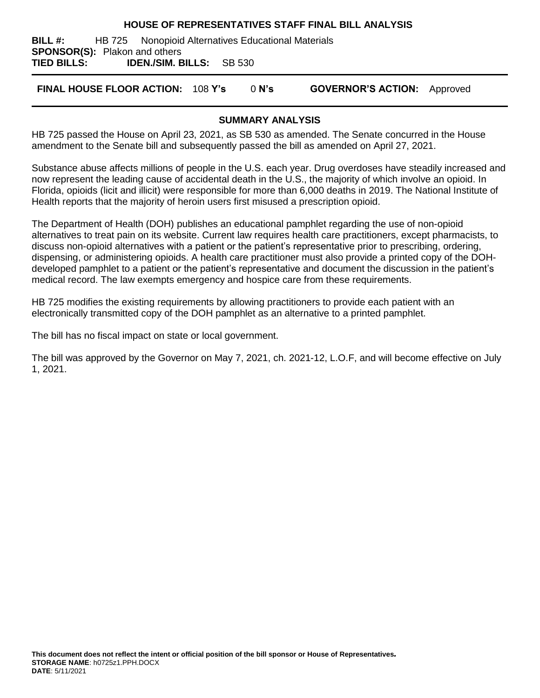### **HOUSE OF REPRESENTATIVES STAFF FINAL BILL ANALYSIS**

**BILL #:** HB 725 Nonopioid Alternatives Educational Materials **SPONSOR(S):** Plakon and others **TIED BILLS: IDEN./SIM. BILLS:** SB 530

**FINAL HOUSE FLOOR ACTION:** 108 **Y's** 0 **N's GOVERNOR'S ACTION:** Approved

### **SUMMARY ANALYSIS**

HB 725 passed the House on April 23, 2021, as SB 530 as amended. The Senate concurred in the House amendment to the Senate bill and subsequently passed the bill as amended on April 27, 2021.

Substance abuse affects millions of people in the U.S. each year. Drug overdoses have steadily increased and now represent the leading cause of accidental death in the U.S., the majority of which involve an opioid. In Florida, opioids (licit and illicit) were responsible for more than 6,000 deaths in 2019. The National Institute of Health reports that the majority of heroin users first misused a prescription opioid.

The Department of Health (DOH) publishes an educational pamphlet regarding the use of non-opioid alternatives to treat pain on its website. Current law requires health care practitioners, except pharmacists, to discuss non-opioid alternatives with a patient or the patient's representative prior to prescribing, ordering, dispensing, or administering opioids. A health care practitioner must also provide a printed copy of the DOHdeveloped pamphlet to a patient or the patient's representative and document the discussion in the patient's medical record. The law exempts emergency and hospice care from these requirements.

HB 725 modifies the existing requirements by allowing practitioners to provide each patient with an electronically transmitted copy of the DOH pamphlet as an alternative to a printed pamphlet.

The bill has no fiscal impact on state or local government.

The bill was approved by the Governor on May 7, 2021, ch. 2021-12, L.O.F, and will become effective on July 1, 2021.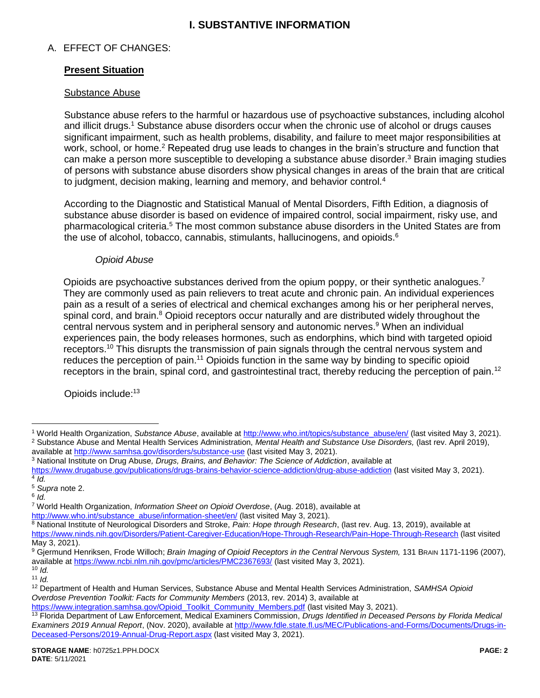# **I. SUBSTANTIVE INFORMATION**

# A. EFFECT OF CHANGES:

# **Present Situation**

### **Substance Abuse**

<span id="page-1-0"></span>Substance abuse refers to the harmful or hazardous use of psychoactive substances, including alcohol and illicit drugs.<sup>1</sup> Substance abuse disorders occur when the chronic use of alcohol or drugs causes significant impairment, such as health problems, disability, and failure to meet major responsibilities at work, school, or home.<sup>2</sup> Repeated drug use leads to changes in the brain's structure and function that can make a person more susceptible to developing a substance abuse disorder.<sup>3</sup> Brain imaging studies of persons with substance abuse disorders show physical changes in areas of the brain that are critical to judgment, decision making, learning and memory, and behavior control.<sup>4</sup>

According to the Diagnostic and Statistical Manual of Mental Disorders, Fifth Edition, a diagnosis of substance abuse disorder is based on evidence of impaired control, social impairment, risky use, and pharmacological criteria.<sup>5</sup> The most common substance abuse disorders in the United States are from the use of alcohol, tobacco, cannabis, stimulants, hallucinogens, and opioids. $6$ 

### <span id="page-1-2"></span><span id="page-1-1"></span>*Opioid Abuse*

Opioids are psychoactive substances derived from the opium poppy, or their synthetic analogues.<sup>7</sup> They are commonly used as pain relievers to treat acute and chronic pain. An individual experiences pain as a result of a series of electrical and chemical exchanges among his or her peripheral nerves, spinal cord, and brain.<sup>8</sup> Opioid receptors occur naturally and are distributed widely throughout the central nervous system and in peripheral sensory and autonomic nerves.<sup>9</sup> When an individual experiences pain, the body releases hormones, such as endorphins, which bind with targeted opioid receptors.<sup>10</sup> This disrupts the transmission of pain signals through the central nervous system and reduces the perception of pain.<sup>11</sup> Opioids function in the same way by binding to specific opioid receptors in the brain, spinal cord, and gastrointestinal tract, thereby reducing the perception of pain.<sup>12</sup>

<span id="page-1-3"></span>Opioids include:<sup>13</sup>

 $\overline{a}$ 

<sup>9</sup> Gjermund Henriksen, Frode Willoch; *Brain Imaging of Opioid Receptors in the Central Nervous System,* 131 BRAIN 1171-1196 (2007), available at<https://www.ncbi.nlm.nih.gov/pmc/articles/PMC2367693/> (last visited May 3, 2021).

<sup>1</sup> World Health Organization, *Substance Abuse*, available at [http://www.who.int/topics/substance\\_abuse/en/](http://www.who.int/topics/substance_abuse/en/) (last visited May 3, 2021). <sup>2</sup> Substance Abuse and Mental Health Services Administration, *Mental Health and Substance Use Disorders,* (last rev. April 2019), available at<http://www.samhsa.gov/disorders/substance-use> (last visited May 3, 2021).

<sup>3</sup> National Institute on Drug Abuse*, Drugs, Brains, and Behavior: The Science of Addiction*, available at

<https://www.drugabuse.gov/publications/drugs-brains-behavior-science-addiction/drug-abuse-addiction> (last visited May 3, 2021). 4 *Id.*

<sup>5</sup> *Supra* not[e 2.](#page-1-0)

<sup>6</sup> *Id.*

<sup>7</sup> World Health Organization, *Information Sheet on Opioid Overdose*, (Aug. 2018), available at [http://www.who.int/substance\\_abuse/information-sheet/en/](http://www.who.int/substance_abuse/information-sheet/en/) (last visited May 3, 2021).

<sup>8</sup> National Institute of Neurological Disorders and Stroke, *Pain: Hope through Research*, (last rev. Aug. 13, 2019), available at <https://www.ninds.nih.gov/Disorders/Patient-Caregiver-Education/Hope-Through-Research/Pain-Hope-Through-Research> (last visited May 3, 2021).

 $10$  *Id.* 

<sup>11</sup> *Id.*

<sup>12</sup> Department of Health and Human Services, Substance Abuse and Mental Health Services Administration, *SAMHSA Opioid Overdose Prevention Toolkit: Facts for Community Members* (2013, rev. 2014) 3, available at

[https://www.integration.samhsa.gov/Opioid\\_Toolkit\\_Community\\_Members.pdf](https://www.integration.samhsa.gov/Opioid_Toolkit_Community_Members.pdf) (last visited May 3, 2021).

<sup>13</sup> Florida Department of Law Enforcement, Medical Examiners Commission, *Drugs Identified in Deceased Persons by Florida Medical Examiners 2019 Annual Report*, (Nov. 2020), available at [http://www.fdle.state.fl.us/MEC/Publications-and-Forms/Documents/Drugs-in-](http://www.fdle.state.fl.us/MEC/Publications-and-Forms/Documents/Drugs-in-Deceased-Persons/2019-Annual-Drug-Report.aspx)[Deceased-Persons/2019-Annual-Drug-Report.aspx](http://www.fdle.state.fl.us/MEC/Publications-and-Forms/Documents/Drugs-in-Deceased-Persons/2019-Annual-Drug-Report.aspx) (last visited May 3, 2021).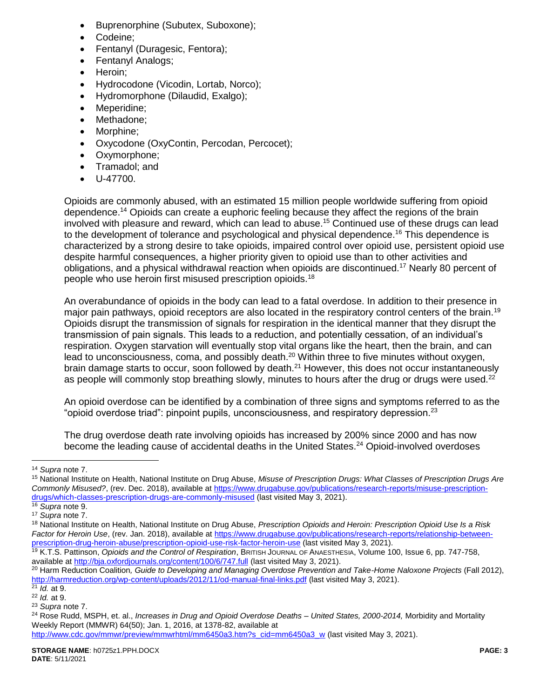- Buprenorphine (Subutex, Suboxone);
- Codeine;
- Fentanyl (Duragesic, Fentora);
- Fentanyl Analogs;
- Heroin;
- Hydrocodone (Vicodin, Lortab, Norco);
- Hydromorphone (Dilaudid, Exalgo);
- Meperidine:
- Methadone;
- Morphine;
- Oxycodone (OxyContin, Percodan, Percocet);
- Oxymorphone;
- Tramadol; and
- U-47700.

Opioids are commonly abused, with an estimated 15 million people worldwide suffering from opioid dependence.<sup>14</sup> Opioids can create a euphoric feeling because they affect the regions of the brain involved with pleasure and reward, which can lead to abuse.<sup>15</sup> Continued use of these drugs can lead to the development of tolerance and psychological and physical dependence.<sup>16</sup> This dependence is characterized by a strong desire to take opioids, impaired control over opioid use, persistent opioid use despite harmful consequences, a higher priority given to opioid use than to other activities and obligations, and a physical withdrawal reaction when opioids are discontinued.<sup>17</sup> Nearly 80 percent of people who use heroin first misused prescription opioids.<sup>18</sup>

An overabundance of opioids in the body can lead to a fatal overdose. In addition to their presence in major pain pathways, opioid receptors are also located in the respiratory control centers of the brain.<sup>19</sup> Opioids disrupt the transmission of signals for respiration in the identical manner that they disrupt the transmission of pain signals. This leads to a reduction, and potentially cessation, of an individual's respiration. Oxygen starvation will eventually stop vital organs like the heart, then the brain, and can lead to unconsciousness, coma, and possibly death.<sup>20</sup> Within three to five minutes without oxygen, brain damage starts to occur, soon followed by death.<sup>21</sup> However, this does not occur instantaneously as people will commonly stop breathing slowly, minutes to hours after the drug or drugs were used.<sup>22</sup>

An opioid overdose can be identified by a combination of three signs and symptoms referred to as the "opioid overdose triad": pinpoint pupils, unconsciousness, and respiratory depression.<sup>23</sup>

The drug overdose death rate involving opioids has increased by 200% since 2000 and has now become the leading cause of accidental deaths in the United States.<sup>24</sup> Opioid-involved overdoses

<sup>14</sup> *Supra* not[e 7.](#page-1-1)

<sup>15</sup> National Institute on Health, National Institute on Drug Abuse, *Misuse of Prescription Drugs: What Classes of Prescription Drugs Are Commonly Misused?*, (rev. Dec. 2018), available a[t https://www.drugabuse.gov/publications/research-reports/misuse-prescription](https://www.drugabuse.gov/publications/research-reports/misuse-prescription-drugs/which-classes-prescription-drugs-are-commonly-misused)[drugs/which-classes-prescription-drugs-are-commonly-misused](https://www.drugabuse.gov/publications/research-reports/misuse-prescription-drugs/which-classes-prescription-drugs-are-commonly-misused) (last visited May 3, 2021).

<sup>16</sup> *Supra* not[e 9.](#page-1-2)

<sup>17</sup> *Supra* not[e 7.](#page-1-1)

<sup>18</sup> National Institute on Health, National Institute on Drug Abuse, *Prescription Opioids and Heroin: Prescription Opioid Use Is a Risk*  Factor for Heroin Use, (rev. Jan. 2018), available at [https://www.drugabuse.gov/publications/research-reports/relationship-between](https://www.drugabuse.gov/publications/research-reports/relationship-between-prescription-drug-heroin-abuse/prescription-opioid-use-risk-factor-heroin-use)[prescription-drug-heroin-abuse/prescription-opioid-use-risk-factor-heroin-use](https://www.drugabuse.gov/publications/research-reports/relationship-between-prescription-drug-heroin-abuse/prescription-opioid-use-risk-factor-heroin-use) (last visited May 3, 2021).

<sup>19</sup> K.T.S. Pattinson, *Opioids and the Control of Respiration*, BRITISH JOURNAL OF ANAESTHESIA, Volume 100, Issue 6, pp. 747-758, available at<http://bja.oxfordjournals.org/content/100/6/747.full> (last visited May 3, 2021).

<sup>20</sup> Harm Reduction Coalition*, Guide to Developing and Managing Overdose Prevention and Take-Home Naloxone Projects* (Fall 2012), <http://harmreduction.org/wp-content/uploads/2012/11/od-manual-final-links.pdf> (last visited May 3, 2021).

<sup>21</sup> *Id.* at 9. <sup>22</sup> *Id.* at 9.

<sup>23</sup> *Supra* not[e 7.](#page-1-1)

<sup>24</sup> Rose Rudd, MSPH, et. al., *Increases in Drug and Opioid Overdose Deaths – United States, 2000-2014,* Morbidity and Mortality Weekly Report (MMWR) 64(50); Jan. 1, 2016, at 1378-82, available at

[http://www.cdc.gov/mmwr/preview/mmwrhtml/mm6450a3.htm?s\\_cid=mm6450a3\\_w](http://www.cdc.gov/mmwr/preview/mmwrhtml/mm6450a3.htm?s_cid=mm6450a3_w) (last visited May 3, 2021).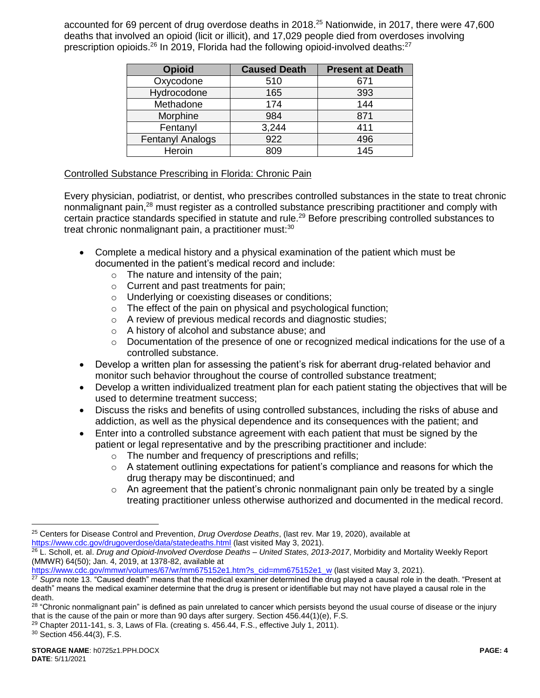accounted for 69 percent of drug overdose deaths in 2018. <sup>25</sup> Nationwide, in 2017, there were 47,600 deaths that involved an opioid (licit or illicit), and 17,029 people died from overdoses involving prescription opioids.<sup>26</sup> In 2019, Florida had the following opioid-involved deaths:<sup>27</sup>

| <b>Opioid</b>           | <b>Caused Death</b> | <b>Present at Death</b> |
|-------------------------|---------------------|-------------------------|
| Oxycodone               | 510                 | 671                     |
| Hydrocodone             | 165                 | 393                     |
| Methadone               | 174                 | 144                     |
| Morphine                | 984                 | 871                     |
| Fentanyl                | 3,244               | 411                     |
| <b>Fentanyl Analogs</b> | 922                 | 496                     |
| Heroin                  | 809                 | 145                     |

# Controlled Substance Prescribing in Florida: Chronic Pain

Every physician, podiatrist, or dentist, who prescribes controlled substances in the state to treat chronic nonmalignant pain,<sup>28</sup> must register as a controlled substance prescribing practitioner and comply with certain practice standards specified in statute and rule.<sup>29</sup> Before prescribing controlled substances to treat chronic nonmalignant pain, a practitioner must:<sup>30</sup>

- Complete a medical history and a physical examination of the patient which must be documented in the patient's medical record and include:
	- $\circ$  The nature and intensity of the pain;
	- o Current and past treatments for pain;
	- o Underlying or coexisting diseases or conditions;
	- o The effect of the pain on physical and psychological function;
	- o A review of previous medical records and diagnostic studies;
	- o A history of alcohol and substance abuse; and
	- $\circ$  Documentation of the presence of one or recognized medical indications for the use of a controlled substance.
- Develop a written plan for assessing the patient's risk for aberrant drug-related behavior and monitor such behavior throughout the course of controlled substance treatment;
- Develop a written individualized treatment plan for each patient stating the objectives that will be used to determine treatment success;
- Discuss the risks and benefits of using controlled substances, including the risks of abuse and addiction, as well as the physical dependence and its consequences with the patient; and
- Enter into a controlled substance agreement with each patient that must be signed by the patient or legal representative and by the prescribing practitioner and include:
	- o The number and frequency of prescriptions and refills;
	- $\circ$  A statement outlining expectations for patient's compliance and reasons for which the drug therapy may be discontinued; and
	- $\circ$  An agreement that the patient's chronic nonmalignant pain only be treated by a single treating practitioner unless otherwise authorized and documented in the medical record.

[https://www.cdc.gov/mmwr/volumes/67/wr/mm675152e1.htm?s\\_cid=mm675152e1\\_w](https://www.cdc.gov/mmwr/volumes/67/wr/mm675152e1.htm?s_cid=mm675152e1_w) (last visited May 3, 2021).

<sup>25</sup> Centers for Disease Control and Prevention, *Drug Overdose Deaths*, (last rev. Mar 19, 2020), available at <https://www.cdc.gov/drugoverdose/data/statedeaths.html> (last visited May 3, 2021).

<sup>26</sup> L. Scholl, et. al. *Drug and Opioid-Involved Overdose Deaths – United States, 2013-2017*, Morbidity and Mortality Weekly Report (MMWR) 64(50); Jan. 4, 2019, at 1378-82, available at

<sup>27</sup> *Supra* not[e 13.](#page-1-3) "Caused death" means that the medical examiner determined the drug played a causal role in the death. "Present at death" means the medical examiner determine that the drug is present or identifiable but may not have played a causal role in the death.

<sup>&</sup>lt;sup>28</sup> "Chronic nonmalignant pain" is defined as pain unrelated to cancer which persists beyond the usual course of disease or the injury that is the cause of the pain or more than 90 days after surgery. Section 456.44(1)(e), F.S.

 $29$  Chapter 2011-141, s. 3, Laws of Fla. (creating s. 456.44, F.S., effective July 1, 2011).

<sup>30</sup> Section 456.44(3), F.S.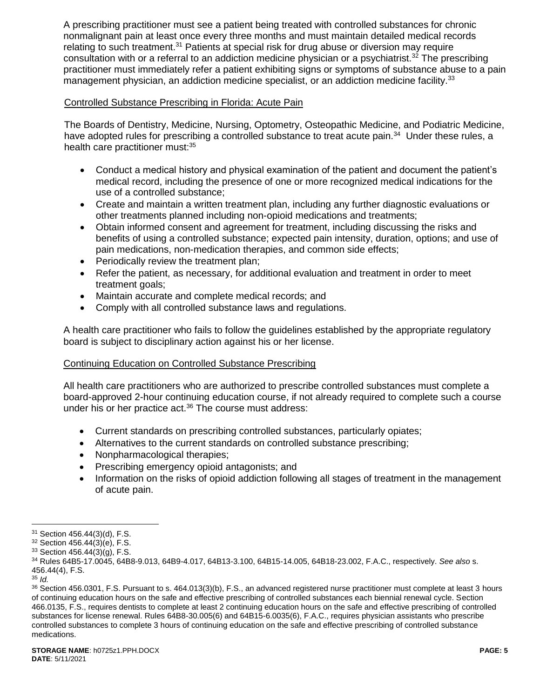A prescribing practitioner must see a patient being treated with controlled substances for chronic nonmalignant pain at least once every three months and must maintain detailed medical records relating to such treatment.<sup>31</sup> Patients at special risk for drug abuse or diversion may require consultation with or a referral to an addiction medicine physician or a psychiatrist.<sup>32</sup> The prescribing practitioner must immediately refer a patient exhibiting signs or symptoms of substance abuse to a pain management physician, an addiction medicine specialist, or an addiction medicine facility.<sup>33</sup>

# Controlled Substance Prescribing in Florida: Acute Pain

The Boards of Dentistry, Medicine, Nursing, Optometry, Osteopathic Medicine, and Podiatric Medicine, have adopted rules for prescribing a controlled substance to treat acute pain.<sup>34</sup> Under these rules, a health care practitioner must:<sup>35</sup>

- Conduct a medical history and physical examination of the patient and document the patient's medical record, including the presence of one or more recognized medical indications for the use of a controlled substance;
- Create and maintain a written treatment plan, including any further diagnostic evaluations or other treatments planned including non-opioid medications and treatments;
- Obtain informed consent and agreement for treatment, including discussing the risks and benefits of using a controlled substance; expected pain intensity, duration, options; and use of pain medications, non-medication therapies, and common side effects;
- Periodically review the treatment plan;
- Refer the patient, as necessary, for additional evaluation and treatment in order to meet treatment goals;
- Maintain accurate and complete medical records; and
- Comply with all controlled substance laws and regulations.

A health care practitioner who fails to follow the guidelines established by the appropriate regulatory board is subject to disciplinary action against his or her license.

# Continuing Education on Controlled Substance Prescribing

All health care practitioners who are authorized to prescribe controlled substances must complete a board-approved 2-hour continuing education course, if not already required to complete such a course under his or her practice act.<sup>36</sup> The course must address:

- Current standards on prescribing controlled substances, particularly opiates;
- Alternatives to the current standards on controlled substance prescribing;
- Nonpharmacological therapies;
- Prescribing emergency opioid antagonists; and
- Information on the risks of opioid addiction following all stages of treatment in the management of acute pain.

<sup>31</sup> Section 456.44(3)(d), F.S.

<sup>32</sup> Section 456.44(3)(e), F.S.

 $33$  Section 456.44 $(3)(q)$ , F.S.

<sup>34</sup> Rules 64B5-17.0045, 64B8-9.013, 64B9-4.017, 64B13-3.100, 64B15-14.005, 64B18-23.002, F.A.C., respectively. *See also* s. 456.44(4), F.S.

<sup>35</sup> *Id.*

<sup>36</sup> Section 456.0301, F.S. Pursuant to s. 464.013(3)(b), F.S., an advanced registered nurse practitioner must complete at least 3 hours of continuing education hours on the safe and effective prescribing of controlled substances each biennial renewal cycle. Section 466.0135, F.S., requires dentists to complete at least 2 continuing education hours on the safe and effective prescribing of controlled substances for license renewal. Rules 64B8-30.005(6) and 64B15-6.0035(6), F.A.C., requires physician assistants who prescribe controlled substances to complete 3 hours of continuing education on the safe and effective prescribing of controlled substance medications.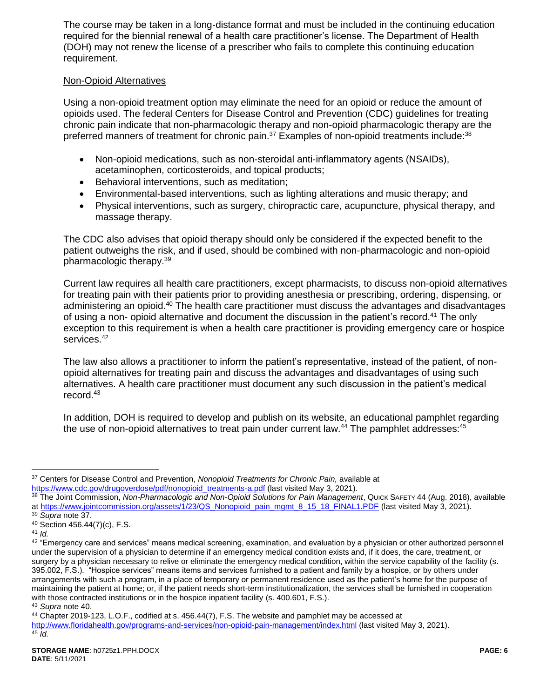The course may be taken in a long-distance format and must be included in the continuing education required for the biennial renewal of a health care practitioner's license. The Department of Health (DOH) may not renew the license of a prescriber who fails to complete this continuing education requirement.

### Non-Opioid Alternatives

Using a non-opioid treatment option may eliminate the need for an opioid or reduce the amount of opioids used. The federal Centers for Disease Control and Prevention (CDC) guidelines for treating chronic pain indicate that non-pharmacologic therapy and non-opioid pharmacologic therapy are the preferred manners of treatment for chronic pain.<sup>37</sup> Examples of non-opioid treatments include:<sup>38</sup>

- Non-opioid medications, such as non-steroidal anti-inflammatory agents (NSAIDs), acetaminophen, corticosteroids, and topical products;
- Behavioral interventions, such as meditation;
- Environmental-based interventions, such as lighting alterations and music therapy; and
- Physical interventions, such as surgery, chiropractic care, acupuncture, physical therapy, and massage therapy.

The CDC also advises that opioid therapy should only be considered if the expected benefit to the patient outweighs the risk, and if used, should be combined with non-pharmacologic and non-opioid pharmacologic therapy.<sup>39</sup>

Current law requires all health care practitioners, except pharmacists, to discuss non-opioid alternatives for treating pain with their patients prior to providing anesthesia or prescribing, ordering, dispensing, or administering an opioid.<sup>40</sup> The health care practitioner must discuss the advantages and disadvantages of using a non- opioid alternative and document the discussion in the patient's record.<sup>41</sup> The only exception to this requirement is when a health care practitioner is providing emergency care or hospice services. 42

The law also allows a practitioner to inform the patient's representative, instead of the patient, of nonopioid alternatives for treating pain and discuss the advantages and disadvantages of using such alternatives. A health care practitioner must document any such discussion in the patient's medical record. 43

In addition, DOH is required to develop and publish on its website, an educational pamphlet regarding the use of non-opioid alternatives to treat pain under current law.<sup>44</sup> The pamphlet addresses:<sup>45</sup>

<sup>37</sup> Centers for Disease Control and Prevention, *Nonopioid Treatments for Chronic Pain,* available at [https://www.cdc.gov/drugoverdose/pdf/nonopioid\\_treatments-a.pdf](https://www.cdc.gov/drugoverdose/pdf/nonopioid_treatments-a.pdf) (last visited May 3, 2021).

<sup>38</sup> The Joint Commission, Non-Pharmacologic and Non-Opioid Solutions for Pain Management, Quick SAFETY 44 (Aug. 2018), available at [https://www.jointcommission.org/assets/1/23/QS\\_Nonopioid\\_pain\\_mgmt\\_8\\_15\\_18\\_FINAL1.PDF](https://www.jointcommission.org/assets/1/23/QS_Nonopioid_pain_mgmt_8_15_18_FINAL1.PDF) (last visited May 3, 2021). <sup>39</sup> *Supra* note 37.

<sup>40</sup> Section 456.44(7)(c), F.S.

<sup>41</sup> *Id.*

<sup>42 &</sup>quot;Emergency care and services" means medical screening, examination, and evaluation by a physician or other authorized personnel under the supervision of a physician to determine if an emergency medical condition exists and, if it does, the care, treatment, or surgery by a physician necessary to relive or eliminate the emergency medical condition, within the service capability of the facility (s. 395.002, F.S.). "Hospice services" means items and services furnished to a patient and family by a hospice, or by others under arrangements with such a program, in a place of temporary or permanent residence used as the patient's home for the purpose of maintaining the patient at home; or, if the patient needs short-term institutionalization, the services shall be furnished in cooperation with those contracted institutions or in the hospice inpatient facility (s. 400.601, F.S.). <sup>43</sup> *Supra* note 40.

<sup>44</sup> Chapter 2019-123, L.O.F., codified at s. 456.44(7), F.S. The website and pamphlet may be accessed at

<http://www.floridahealth.gov/programs-and-services/non-opioid-pain-management/index.html> (last visited May 3, 2021).  $45$   $\overline{\phantom{1}}$  *Id.*